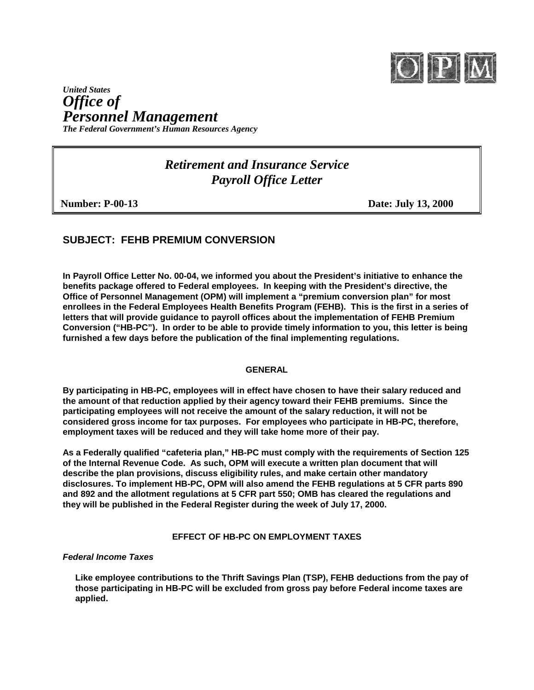

# *United States Office of Personnel Management The Federal Government's Human Resources Agency*

*Retirement and Insurance Service Payroll Office Letter*

**Number: P-00-13** Date: July 13, 2000

# **SUBJECT: FEHB PREMIUM CONVERSION**

**In Payroll Office Letter No. 00-04, we informed you about the President's initiative to enhance the benefits package offered to Federal employees. In keeping with the President's directive, the Office of Personnel Management (OPM) will implement a "premium conversion plan" for most enrollees in the Federal Employees Health Benefits Program (FEHB). This is the first in a series of letters that will provide guidance to payroll offices about the implementation of FEHB Premium Conversion ("HB-PC"). In order to be able to provide timely information to you, this letter is being furnished a few days before the publication of the final implementing regulations.**

# **GENERAL**

**By participating in HB-PC, employees will in effect have chosen to have their salary reduced and the amount of that reduction applied by their agency toward their FEHB premiums. Since the participating employees will not receive the amount of the salary reduction, it will not be considered gross income for tax purposes. For employees who participate in HB-PC, therefore, employment taxes will be reduced and they will take home more of their pay.**

**As a Federally qualified "cafeteria plan," HB-PC must comply with the requirements of Section 125 of the Internal Revenue Code. As such, OPM will execute a written plan document that will describe the plan provisions, discuss eligibility rules, and make certain other mandatory disclosures. To implement HB-PC, OPM will also amend the FEHB regulations at 5 CFR parts 890 and 892 and the allotment regulations at 5 CFR part 550; OMB has cleared the regulations and they will be published in the Federal Register during the week of July 17, 2000.**

# **EFFECT OF HB-PC ON EMPLOYMENT TAXES**

# *Federal Income Taxes*

**Like employee contributions to the Thrift Savings Plan (TSP), FEHB deductions from the pay of those participating in HB-PC will be excluded from gross pay before Federal income taxes are applied.**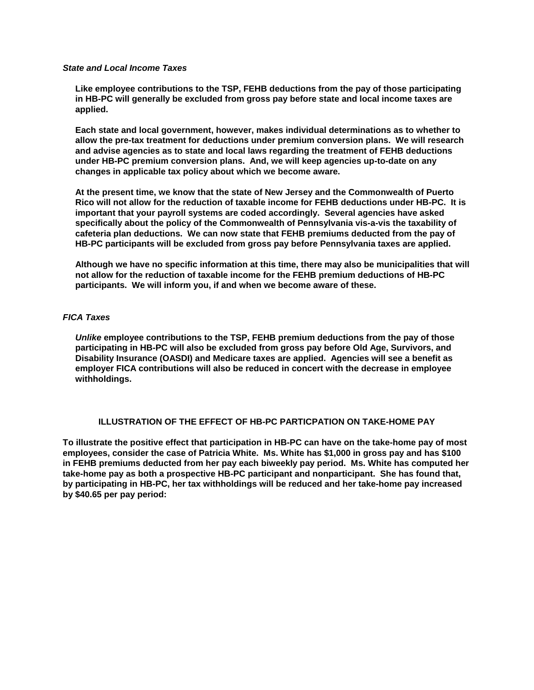#### *State and Local Income Taxes*

**Like employee contributions to the TSP, FEHB deductions from the pay of those participating in HB-PC will generally be excluded from gross pay before state and local income taxes are applied.**

**Each state and local government, however, makes individual determinations as to whether to allow the pre-tax treatment for deductions under premium conversion plans. We will research and advise agencies as to state and local laws regarding the treatment of FEHB deductions under HB-PC premium conversion plans. And, we will keep agencies up-to-date on any changes in applicable tax policy about which we become aware.**

**At the present time, we know that the state of New Jersey and the Commonwealth of Puerto Rico will not allow for the reduction of taxable income for FEHB deductions under HB-PC. It is important that your payroll systems are coded accordingly. Several agencies have asked specifically about the policy of the Commonwealth of Pennsylvania vis-a-vis the taxability of cafeteria plan deductions. We can now state that FEHB premiums deducted from the pay of HB-PC participants will be excluded from gross pay before Pennsylvania taxes are applied.** 

**Although we have no specific information at this time, there may also be municipalities that will not allow for the reduction of taxable income for the FEHB premium deductions of HB-PC participants. We will inform you, if and when we become aware of these.**

#### *FICA Taxes*

*Unlike* **employee contributions to the TSP, FEHB premium deductions from the pay of those participating in HB-PC will also be excluded from gross pay before Old Age, Survivors, and Disability Insurance (OASDI) and Medicare taxes are applied. Agencies will see a benefit as employer FICA contributions will also be reduced in concert with the decrease in employee withholdings.**

#### **ILLUSTRATION OF THE EFFECT OF HB-PC PARTICPATION ON TAKE-HOME PAY**

**To illustrate the positive effect that participation in HB-PC can have on the take-home pay of most employees, consider the case of Patricia White. Ms. White has \$1,000 in gross pay and has \$100 in FEHB premiums deducted from her pay each biweekly pay period. Ms. White has computed her take-home pay as both a prospective HB-PC participant and nonparticipant. She has found that, by participating in HB-PC, her tax withholdings will be reduced and her take-home pay increased by \$40.65 per pay period:**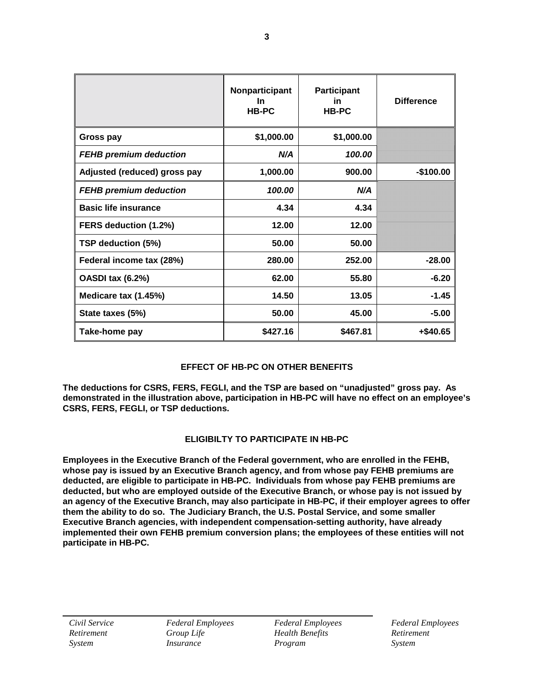|                               | Nonparticipant<br><b>In</b><br>HB-PC | <b>Participant</b><br>in<br><b>HB-PC</b> | <b>Difference</b> |
|-------------------------------|--------------------------------------|------------------------------------------|-------------------|
| Gross pay                     | \$1,000.00                           | \$1,000.00                               |                   |
| <b>FEHB premium deduction</b> | N/A                                  | 100.00                                   |                   |
| Adjusted (reduced) gross pay  | 1,000.00                             | 900.00                                   | $-$100.00$        |
| <b>FEHB premium deduction</b> | 100.00                               | N/A                                      |                   |
| <b>Basic life insurance</b>   | 4.34                                 | 4.34                                     |                   |
| FERS deduction (1.2%)         | 12.00                                | 12.00                                    |                   |
| TSP deduction (5%)            | 50.00                                | 50.00                                    |                   |
| Federal income tax (28%)      | 280.00                               | 252.00                                   | $-28.00$          |
| <b>OASDI tax (6.2%)</b>       | 62.00                                | 55.80                                    | $-6.20$           |
| Medicare tax (1.45%)          | 14.50                                | 13.05                                    | $-1.45$           |
| State taxes (5%)              | 50.00                                | 45.00                                    | $-5.00$           |
| Take-home pay                 | \$427.16                             | \$467.81                                 | +\$40.65          |

# **EFFECT OF HB-PC ON OTHER BENEFITS**

**The deductions for CSRS, FERS, FEGLI, and the TSP are based on "unadjusted" gross pay. As demonstrated in the illustration above, participation in HB-PC will have no effect on an employee's CSRS, FERS, FEGLI, or TSP deductions.**

# **ELIGIBILTY TO PARTICIPATE IN HB-PC**

**Employees in the Executive Branch of the Federal government, who are enrolled in the FEHB, whose pay is issued by an Executive Branch agency, and from whose pay FEHB premiums are deducted, are eligible to participate in HB-PC. Individuals from whose pay FEHB premiums are deducted, but who are employed outside of the Executive Branch, or whose pay is not issued by an agency of the Executive Branch, may also participate in HB-PC, if their employer agrees to offer them the ability to do so. The Judiciary Branch, the U.S. Postal Service, and some smaller Executive Branch agencies, with independent compensation-setting authority, have already implemented their own FEHB premium conversion plans; the employees of these entities will not participate in HB-PC.**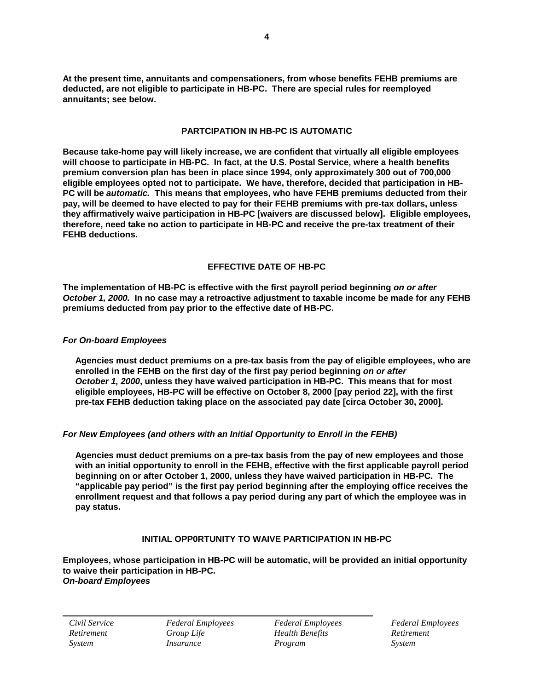**At the present time, annuitants and compensationers, from whose benefits FEHB premiums are deducted, are not eligible to participate in HB-PC. There are special rules for reemployed annuitants; see below.**

### **PARTCIPATION IN HB-PC IS AUTOMATIC**

**Because take-home pay will likely increase, we are confident that virtually all eligible employees will choose to participate in HB-PC. In fact, at the U.S. Postal Service, where a health benefits premium conversion plan has been in place since 1994, only approximately 300 out of 700,000 eligible employees opted not to participate. We have, therefore, decided that participation in HB-PC will be** *automatic.* **This means that employees, who have FEHB premiums deducted from their pay, will be deemed to have elected to pay for their FEHB premiums with pre-tax dollars, unless they affirmatively waive participation in HB-PC [waivers are discussed below]. Eligible employees, therefore, need take no action to participate in HB-PC and receive the pre-tax treatment of their FEHB deductions.**

# **EFFECTIVE DATE OF HB-PC**

**The implementation of HB-PC is effective with the first payroll period beginning** *on or after October 1, 2000.* **In no case may a retroactive adjustment to taxable income be made for any FEHB premiums deducted from pay prior to the effective date of HB-PC.**

#### *For On-board Employees*

**Agencies must deduct premiums on a pre-tax basis from the pay of eligible employees, who are enrolled in the FEHB on the first day of the first pay period beginning** *on or after October 1, 2000***, unless they have waived participation in HB-PC. This means that for most eligible employees, HB-PC will be effective on October 8, 2000 [pay period 22], with the first pre-tax FEHB deduction taking place on the associated pay date [circa October 30, 2000].**

# *For New Employees (and others with an Initial Opportunity to Enroll in the FEHB)*

**Agencies must deduct premiums on a pre-tax basis from the pay of new employees and those with an initial opportunity to enroll in the FEHB, effective with the first applicable payroll period beginning on or after October 1, 2000, unless they have waived participation in HB-PC. The "applicable pay period" is the first pay period beginning after the employing office receives the enrollment request and that follows a pay period during any part of which the employee was in pay status.**

# **INITIAL OPP0RTUNITY TO WAIVE PARTICIPATION IN HB-PC**

**Employees, whose participation in HB-PC will be automatic, will be provided an initial opportunity to waive their participation in HB-PC.** *On-board Employees*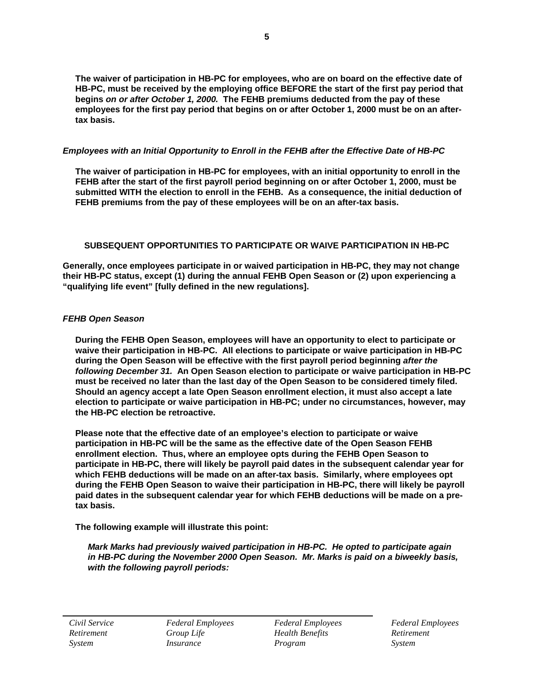**The waiver of participation in HB-PC for employees, who are on board on the effective date of HB-PC, must be received by the employing office BEFORE the start of the first pay period that begins** *on or after October 1, 2000.* **The FEHB premiums deducted from the pay of these employees for the first pay period that begins on or after October 1, 2000 must be on an aftertax basis.**

# *Employees with an Initial Opportunity to Enroll in the FEHB after the Effective Date of HB-PC*

**The waiver of participation in HB-PC for employees, with an initial opportunity to enroll in the FEHB after the start of the first payroll period beginning on or after October 1, 2000, must be submitted WITH the election to enroll in the FEHB. As a consequence, the initial deduction of FEHB premiums from the pay of these employees will be on an after-tax basis.**

# **SUBSEQUENT OPPORTUNITIES TO PARTICIPATE OR WAIVE PARTICIPATION IN HB-PC**

**Generally, once employees participate in or waived participation in HB-PC, they may not change their HB-PC status, except (1) during the annual FEHB Open Season or (2) upon experiencing a "qualifying life event" [fully defined in the new regulations].**

# *FEHB Open Season*

**During the FEHB Open Season, employees will have an opportunity to elect to participate or waive their participation in HB-PC. All elections to participate or waive participation in HB-PC during the Open Season will be effective with the first payroll period beginning** *after the following December 31.* **An Open Season election to participate or waive participation in HB-PC must be received no later than the last day of the Open Season to be considered timely filed. Should an agency accept a late Open Season enrollment election, it must also accept a late election to participate or waive participation in HB-PC; under no circumstances, however, may the HB-PC election be retroactive.**

**Please note that the effective date of an employee's election to participate or waive participation in HB-PC will be the same as the effective date of the Open Season FEHB enrollment election. Thus, where an employee opts during the FEHB Open Season to participate in HB-PC, there will likely be payroll paid dates in the subsequent calendar year for which FEHB deductions will be made on an after-tax basis. Similarly, where employees opt during the FEHB Open Season to waive their participation in HB-PC, there will likely be payroll paid dates in the subsequent calendar year for which FEHB deductions will be made on a pretax basis.**

# **The following example will illustrate this point:**

*Mark Marks had previously waived participation in HB-PC. He opted to participate again in HB-PC during the November 2000 Open Season. Mr. Marks is paid on a biweekly basis, with the following payroll periods:*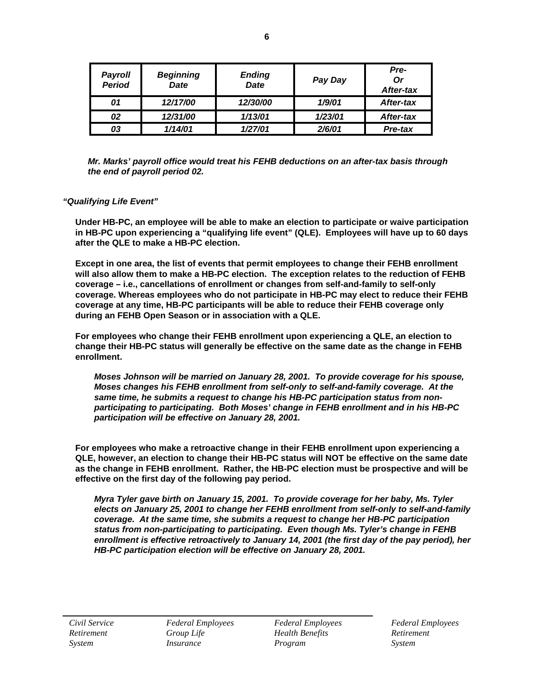| <b>Payroll</b><br><b>Period</b> | <b>Beginning</b><br><b>Date</b> | <b>Ending</b><br><b>Date</b> | Pay Day | Pre-<br>Or<br>After-tax |
|---------------------------------|---------------------------------|------------------------------|---------|-------------------------|
| 01                              | 12/17/00                        | 12/30/00                     | 1/9/01  | After-tax               |
| 02                              | 12/31/00                        | 1/13/01                      | 1/23/01 | After-tax               |
| 03                              | 1/14/01                         | 1/27/01                      | 2/6/01  | Pre-tax                 |

*Mr. Marks' payroll office would treat his FEHB deductions on an after-tax basis through the end of payroll period 02.*

#### *"Qualifying Life Event"*

**Under HB-PC, an employee will be able to make an election to participate or waive participation in HB-PC upon experiencing a "qualifying life event" (QLE). Employees will have up to 60 days after the QLE to make a HB-PC election.**

**Except in one area, the list of events that permit employees to change their FEHB enrollment will also allow them to make a HB-PC election. The exception relates to the reduction of FEHB coverage – i.e., cancellations of enrollment or changes from self-and-family to self-only coverage. Whereas employees who do not participate in HB-PC may elect to reduce their FEHB coverage at any time, HB-PC participants will be able to reduce their FEHB coverage only during an FEHB Open Season or in association with a QLE.**

**For employees who change their FEHB enrollment upon experiencing a QLE, an election to change their HB-PC status will generally be effective on the same date as the change in FEHB enrollment.**

*Moses Johnson will be married on January 28, 2001. To provide coverage for his spouse, Moses changes his FEHB enrollment from self-only to self-and-family coverage. At the same time, he submits a request to change his HB-PC participation status from nonparticipating to participating. Both Moses' change in FEHB enrollment and in his HB-PC participation will be effective on January 28, 2001.*

**For employees who make a retroactive change in their FEHB enrollment upon experiencing a QLE, however, an election to change their HB-PC status will NOT be effective on the same date as the change in FEHB enrollment. Rather, the HB-PC election must be prospective and will be effective on the first day of the following pay period.**

*Myra Tyler gave birth on January 15, 2001. To provide coverage for her baby, Ms. Tyler elects on January 25, 2001 to change her FEHB enrollment from self-only to self-and-family coverage. At the same time, she submits a request to change her HB-PC participation status from non-participating to participating. Even though Ms. Tyler's change in FEHB enrollment is effective retroactively to January 14, 2001 (the first day of the pay period), her HB-PC participation election will be effective on January 28, 2001.*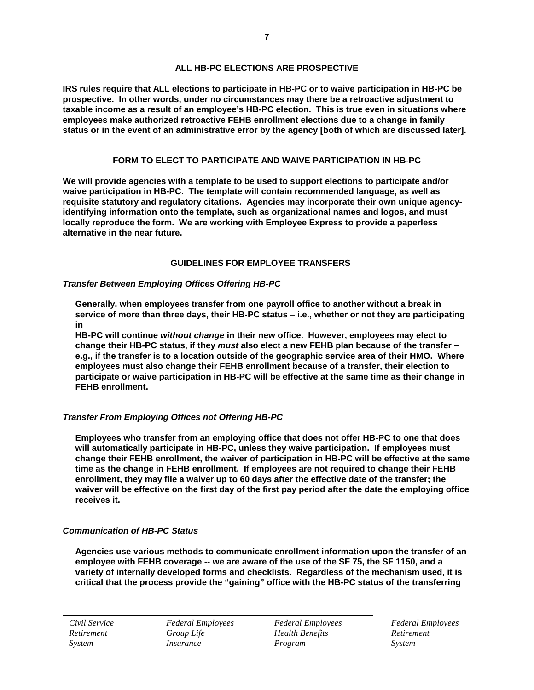### **ALL HB-PC ELECTIONS ARE PROSPECTIVE**

**IRS rules require that ALL elections to participate in HB-PC or to waive participation in HB-PC be prospective. In other words, under no circumstances may there be a retroactive adjustment to taxable income as a result of an employee's HB-PC election. This is true even in situations where employees make authorized retroactive FEHB enrollment elections due to a change in family status or in the event of an administrative error by the agency [both of which are discussed later].**

### **FORM TO ELECT TO PARTICIPATE AND WAIVE PARTICIPATION IN HB-PC**

**We will provide agencies with a template to be used to support elections to participate and/or waive participation in HB-PC. The template will contain recommended language, as well as requisite statutory and regulatory citations. Agencies may incorporate their own unique agencyidentifying information onto the template, such as organizational names and logos, and must locally reproduce the form. We are working with Employee Express to provide a paperless alternative in the near future.**

# **GUIDELINES FOR EMPLOYEE TRANSFERS**

#### *Transfer Between Employing Offices Offering HB-PC*

**Generally, when employees transfer from one payroll office to another without a break in service of more than three days, their HB-PC status – i.e., whether or not they are participating in**

**HB-PC will continue** *without change* **in their new office. However, employees may elect to change their HB-PC status, if they** *must* **also elect a new FEHB plan because of the transfer – e.g., if the transfer is to a location outside of the geographic service area of their HMO. Where employees must also change their FEHB enrollment because of a transfer, their election to participate or waive participation in HB-PC will be effective at the same time as their change in FEHB enrollment.** 

# *Transfer From Employing Offices not Offering HB-PC*

**Employees who transfer from an employing office that does not offer HB-PC to one that does will automatically participate in HB-PC, unless they waive participation. If employees must change their FEHB enrollment, the waiver of participation in HB-PC will be effective at the same time as the change in FEHB enrollment. If employees are not required to change their FEHB enrollment, they may file a waiver up to 60 days after the effective date of the transfer; the waiver will be effective on the first day of the first pay period after the date the employing office receives it.**

# *Communication of HB-PC Status*

**Agencies use various methods to communicate enrollment information upon the transfer of an employee with FEHB coverage -- we are aware of the use of the SF 75, the SF 1150, and a variety of internally developed forms and checklists. Regardless of the mechanism used, it is critical that the process provide the "gaining" office with the HB-PC status of the transferring**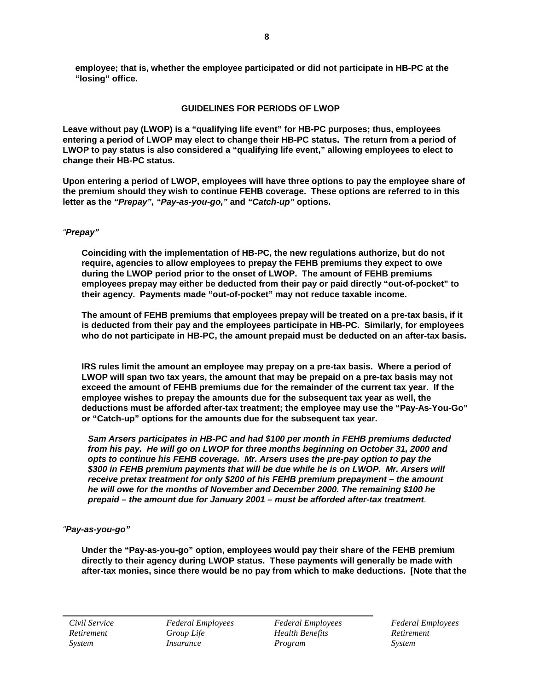**employee; that is, whether the employee participated or did not participate in HB-PC at the "losing" office.**

# **GUIDELINES FOR PERIODS OF LWOP**

**Leave without pay (LWOP) is a "qualifying life event" for HB-PC purposes; thus, employees entering a period of LWOP may elect to change their HB-PC status. The return from a period of LWOP to pay status is also considered a "qualifying life event," allowing employees to elect to change their HB-PC status.**

**Upon entering a period of LWOP, employees will have three options to pay the employee share of the premium should they wish to continue FEHB coverage. These options are referred to in this letter as the** *"Prepay", "Pay-as-you-go,"* **and** *"Catch-up"* **options.**

# *"Prepay"*

**Coinciding with the implementation of HB-PC, the new regulations authorize, but do not require, agencies to allow employees to prepay the FEHB premiums they expect to owe during the LWOP period prior to the onset of LWOP. The amount of FEHB premiums employees prepay may either be deducted from their pay or paid directly "out-of-pocket" to their agency. Payments made "out-of-pocket" may not reduce taxable income.**

**The amount of FEHB premiums that employees prepay will be treated on a pre-tax basis, if it is deducted from their pay and the employees participate in HB-PC. Similarly, for employees who do not participate in HB-PC, the amount prepaid must be deducted on an after-tax basis.**

**IRS rules limit the amount an employee may prepay on a pre-tax basis. Where a period of LWOP will span two tax years, the amount that may be prepaid on a pre-tax basis may not exceed the amount of FEHB premiums due for the remainder of the current tax year. If the employee wishes to prepay the amounts due for the subsequent tax year as well, the deductions must be afforded after-tax treatment; the employee may use the "Pay-As-You-Go" or "Catch-up" options for the amounts due for the subsequent tax year.**

*Sam Arsers participates in HB-PC and had \$100 per month in FEHB premiums deducted from his pay. He will go on LWOP for three months beginning on October 31, 2000 and opts to continue his FEHB coverage. Mr. Arsers uses the pre-pay option to pay the \$300 in FEHB premium payments that will be due while he is on LWOP. Mr. Arsers will receive pretax treatment for only \$200 of his FEHB premium prepayment – the amount he will owe for the months of November and December 2000. The remaining \$100 he prepaid – the amount due for January 2001 – must be afforded after-tax treatment.* 

# *"Pay-as-you-go"*

**Under the "Pay-as-you-go" option, employees would pay their share of the FEHB premium directly to their agency during LWOP status. These payments will generally be made with after-tax monies, since there would be no pay from which to make deductions. [Note that the**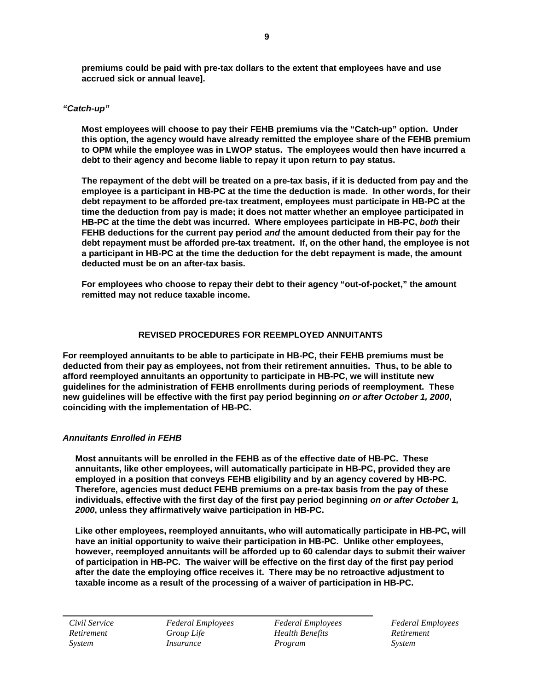**premiums could be paid with pre-tax dollars to the extent that employees have and use accrued sick or annual leave].**

#### *"Catch-up"*

**Most employees will choose to pay their FEHB premiums via the "Catch-up" option. Under this option, the agency would have already remitted the employee share of the FEHB premium to OPM while the employee was in LWOP status. The employees would then have incurred a debt to their agency and become liable to repay it upon return to pay status.**

**The repayment of the debt will be treated on a pre-tax basis, if it is deducted from pay and the employee is a participant in HB-PC at the time the deduction is made. In other words, for their debt repayment to be afforded pre-tax treatment, employees must participate in HB-PC at the time the deduction from pay is made; it does not matter whether an employee participated in HB-PC at the time the debt was incurred. Where employees participate in HB-PC,** *both* **their FEHB deductions for the current pay period** *and* **the amount deducted from their pay for the debt repayment must be afforded pre-tax treatment. If, on the other hand, the employee is not a participant in HB-PC at the time the deduction for the debt repayment is made, the amount deducted must be on an after-tax basis.**

**For employees who choose to repay their debt to their agency "out-of-pocket," the amount remitted may not reduce taxable income.**

#### **REVISED PROCEDURES FOR REEMPLOYED ANNUITANTS**

**For reemployed annuitants to be able to participate in HB-PC, their FEHB premiums must be deducted from their pay as employees, not from their retirement annuities. Thus, to be able to afford reemployed annuitants an opportunity to participate in HB-PC, we will institute new guidelines for the administration of FEHB enrollments during periods of reemployment. These new guidelines will be effective with the first pay period beginning** *on or after October 1, 2000***, coinciding with the implementation of HB-PC.**

#### *Annuitants Enrolled in FEHB*

**Most annuitants will be enrolled in the FEHB as of the effective date of HB-PC. These annuitants, like other employees, will automatically participate in HB-PC, provided they are employed in a position that conveys FEHB eligibility and by an agency covered by HB-PC***.*  **Therefore, agencies must deduct FEHB premiums on a pre-tax basis from the pay of these individuals, effective with the first day of the first pay period beginning** *on or after October 1, 2000***, unless they affirmatively waive participation in HB-PC.** 

**Like other employees, reemployed annuitants, who will automatically participate in HB-PC, will have an initial opportunity to waive their participation in HB-PC. Unlike other employees, however, reemployed annuitants will be afforded up to 60 calendar days to submit their waiver of participation in HB-PC. The waiver will be effective on the first day of the first pay period after the date the employing office receives it. There may be no retroactive adjustment to taxable income as a result of the processing of a waiver of participation in HB-PC.**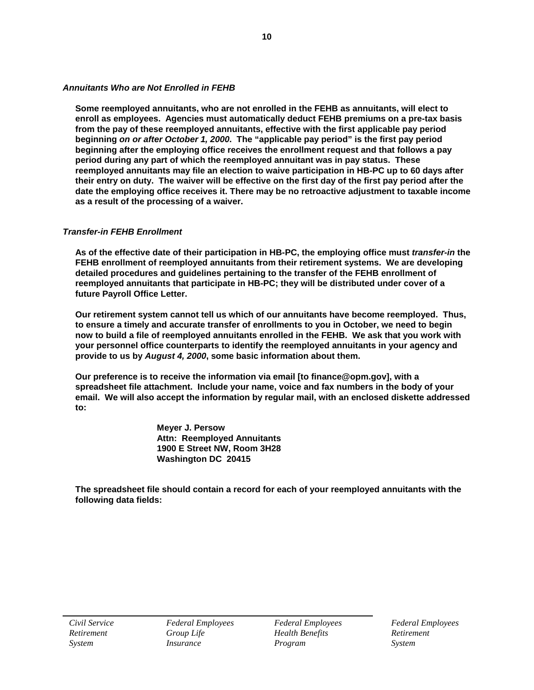### *Annuitants Who are Not Enrolled in FEHB*

**Some reemployed annuitants, who are not enrolled in the FEHB as annuitants, will elect to enroll as employees. Agencies must automatically deduct FEHB premiums on a pre-tax basis from the pay of these reemployed annuitants, effective with the first applicable pay period beginning** *on or after October 1, 2000***. The "applicable pay period" is the first pay period beginning after the employing office receives the enrollment request and that follows a pay period during any part of which the reemployed annuitant was in pay status. These reemployed annuitants may file an election to waive participation in HB-PC up to 60 days after their entry on duty. The waiver will be effective on the first day of the first pay period after the date the employing office receives it. There may be no retroactive adjustment to taxable income as a result of the processing of a waiver.**

#### *Transfer-in FEHB Enrollment*

**As of the effective date of their participation in HB-PC, the employing office must** *transfer-in* **the FEHB enrollment of reemployed annuitants from their retirement systems. We are developing detailed procedures and guidelines pertaining to the transfer of the FEHB enrollment of reemployed annuitants that participate in HB-PC; they will be distributed under cover of a future Payroll Office Letter.**

**Our retirement system cannot tell us which of our annuitants have become reemployed. Thus, to ensure a timely and accurate transfer of enrollments to you in October, we need to begin now to build a file of reemployed annuitants enrolled in the FEHB. We ask that you work with your personnel office counterparts to identify the reemployed annuitants in your agency and provide to us by** *August 4, 2000***, some basic information about them.** 

**Our preference is to receive the information via email [to finance@opm.gov], with a spreadsheet file attachment. Include your name, voice and fax numbers in the body of your email. We will also accept the information by regular mail, with an enclosed diskette addressed to:**

> **Meyer J. Persow Attn: Reemployed Annuitants 1900 E Street NW, Room 3H28 Washington DC 20415**

**The spreadsheet file should contain a record for each of your reemployed annuitants with the following data fields:**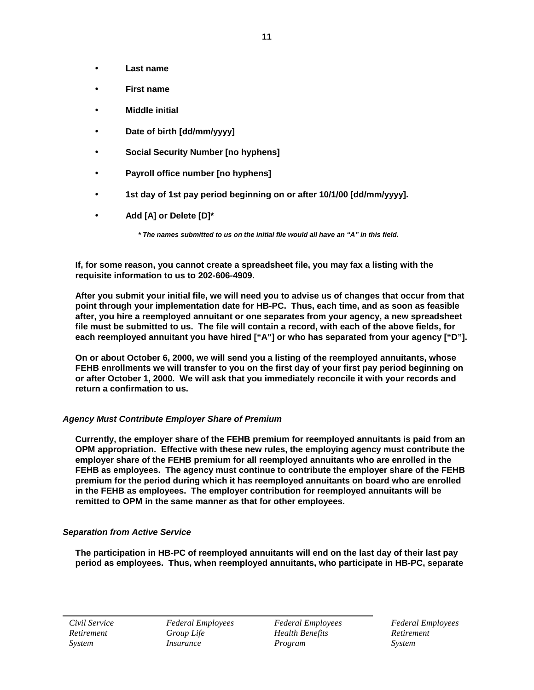- **Last name**
- **First name**
- **Middle initial**
- **Date of birth [dd/mm/yyyy]**
- **Social Security Number [no hyphens]**
- **Payroll office number [no hyphens]**
- **1st day of 1st pay period beginning on or after 10/1/00 [dd/mm/yyyy].**
- **Add [A] or Delete [D]\***

*\* The names submitted to us on the initial file would all have an "A" in this field.*

**If, for some reason, you cannot create a spreadsheet file, you may fax a listing with the requisite information to us to 202-606-4909.**

**After you submit your initial file, we will need you to advise us of changes that occur from that point through your implementation date for HB-PC. Thus, each time, and as soon as feasible after, you hire a reemployed annuitant or one separates from your agency, a new spreadsheet file must be submitted to us. The file will contain a record, with each of the above fields, for** each reemployed annuitant you have hired ["A"] or who has separated from your agency ["D"].

**On or about October 6, 2000, we will send you a listing of the reemployed annuitants, whose FEHB enrollments we will transfer to you on the first day of your first pay period beginning on or after October 1, 2000. We will ask that you immediately reconcile it with your records and return a confirmation to us.** 

# *Agency Must Contribute Employer Share of Premium*

**Currently, the employer share of the FEHB premium for reemployed annuitants is paid from an OPM appropriation. Effective with these new rules, the employing agency must contribute the employer share of the FEHB premium for all reemployed annuitants who are enrolled in the FEHB as employees. The agency must continue to contribute the employer share of the FEHB premium for the period during which it has reemployed annuitants on board who are enrolled in the FEHB as employees. The employer contribution for reemployed annuitants will be remitted to OPM in the same manner as that for other employees.**

# *Separation from Active Service*

**The participation in HB-PC of reemployed annuitants will end on the last day of their last pay period as employees. Thus, when reemployed annuitants, who participate in HB-PC, separate**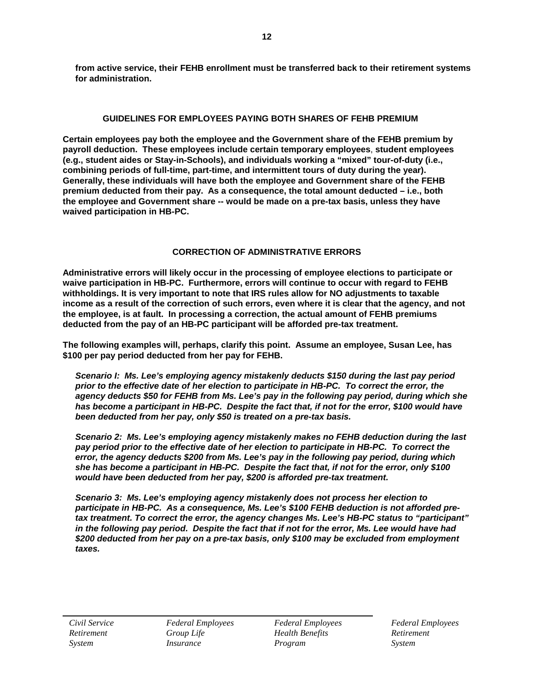**from active service, their FEHB enrollment must be transferred back to their retirement systems for administration.**

# **GUIDELINES FOR EMPLOYEES PAYING BOTH SHARES OF FEHB PREMIUM**

**Certain employees pay both the employee and the Government share of the FEHB premium by payroll deduction. These employees include certain temporary employees**, **student employees (e.g., student aides or Stay-in-Schools), and individuals working a "mixed" tour-of-duty (i.e., combining periods of full-time, part-time, and intermittent tours of duty during the year). Generally, these individuals will have both the employee and Government share of the FEHB premium deducted from their pay. As a consequence, the total amount deducted – i.e., both the employee and Government share -- would be made on a pre-tax basis, unless they have waived participation in HB-PC.**

# **CORRECTION OF ADMINISTRATIVE ERRORS**

**Administrative errors will likely occur in the processing of employee elections to participate or waive participation in HB-PC. Furthermore, errors will continue to occur with regard to FEHB withholdings. It is very important to note that IRS rules allow for NO adjustments to taxable income as a result of the correction of such errors, even where it is clear that the agency, and not the employee, is at fault. In processing a correction, the actual amount of FEHB premiums deducted from the pay of an HB-PC participant will be afforded pre-tax treatment.**

**The following examples will, perhaps, clarify this point. Assume an employee, Susan Lee, has \$100 per pay period deducted from her pay for FEHB.** 

*Scenario I: Ms. Lee's employing agency mistakenly deducts \$150 during the last pay period prior to the effective date of her election to participate in HB-PC. To correct the error, the agency deducts \$50 for FEHB from Ms. Lee's pay in the following pay period, during which she has become a participant in HB-PC. Despite the fact that, if not for the error, \$100 would have been deducted from her pay, only \$50 is treated on a pre-tax basis.*

*Scenario 2: Ms. Lee's employing agency mistakenly makes no FEHB deduction during the last pay period prior to the effective date of her election to participate in HB-PC. To correct the error, the agency deducts \$200 from Ms. Lee's pay in the following pay period, during which she has become a participant in HB-PC. Despite the fact that, if not for the error, only \$100 would have been deducted from her pay, \$200 is afforded pre-tax treatment.*

*Scenario 3: Ms. Lee's employing agency mistakenly does not process her election to participate in HB-PC. As a consequence, Ms. Lee's \$100 FEHB deduction is not afforded pretax treatment. To correct the error, the agency changes Ms. Lee's HB-PC status to "participant" in the following pay period. Despite the fact that if not for the error, Ms. Lee would have had \$200 deducted from her pay on a pre-tax basis, only \$100 may be excluded from employment taxes.*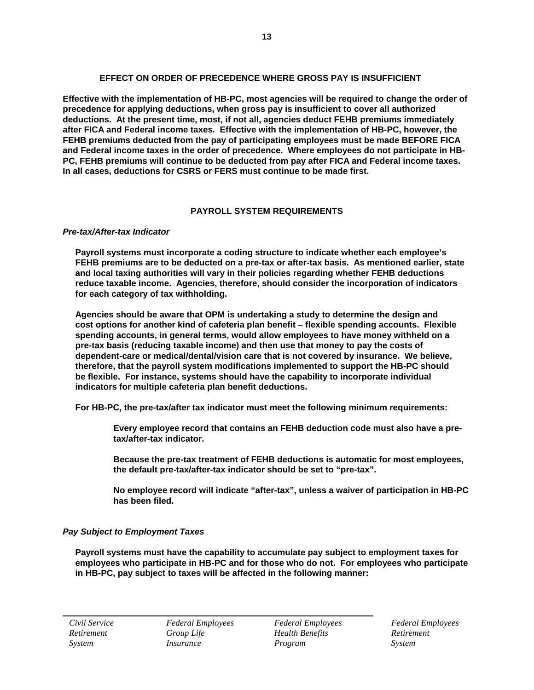### **EFFECT ON ORDER OF PRECEDENCE WHERE GROSS PAY IS INSUFFICIENT**

**Effective with the implementation of HB-PC, most agencies will be required to change the order of precedence for applying deductions, when gross pay is insufficient to cover all authorized deductions. At the present time, most, if not all, agencies deduct FEHB premiums immediately after FICA and Federal income taxes. Effective with the implementation of HB-PC, however, the FEHB premiums deducted from the pay of participating employees must be made BEFORE FICA and Federal income taxes in the order of precedence. Where employees do not participate in HB-PC, FEHB premiums will continue to be deducted from pay after FICA and Federal income taxes. In all cases, deductions for CSRS or FERS must continue to be made first.**

# **PAYROLL SYSTEM REQUIREMENTS**

#### *Pre-tax/After-tax Indicator*

**Payroll systems must incorporate a coding structure to indicate whether each employee's FEHB premiums are to be deducted on a pre-tax or after-tax basis. As mentioned earlier, state and local taxing authorities will vary in their policies regarding whether FEHB deductions reduce taxable income. Agencies, therefore, should consider the incorporation of indicators for each category of tax withholding.** 

**Agencies should be aware that OPM is undertaking a study to determine the design and cost options for another kind of cafeteria plan benefit – flexible spending accounts. Flexible spending accounts, in general terms, would allow employees to have money withheld on a pre-tax basis (reducing taxable income) and then use that money to pay the costs of dependent-care or medical/dental/vision care that is not covered by insurance. We believe, therefore, that the payroll system modifications implemented to support the HB-PC should be flexible. For instance, systems should have the capability to incorporate individual indicators for multiple cafeteria plan benefit deductions.**

**For HB-PC, the pre-tax/after tax indicator must meet the following minimum requirements:**

**Every employee record that contains an FEHB deduction code must also have a pretax/after-tax indicator.**

**Because the pre-tax treatment of FEHB deductions is automatic for most employees, the default pre-tax/after-tax indicator should be set to "pre-tax".**

**No employee record will indicate "after-tax", unless a waiver of participation in HB-PC has been filed.**

# *Pay Subject to Employment Taxes*

**Payroll systems must have the capability to accumulate pay subject to employment taxes for employees who participate in HB-PC and for those who do not. For employees who participate in HB-PC, pay subject to taxes will be affected in the following manner:**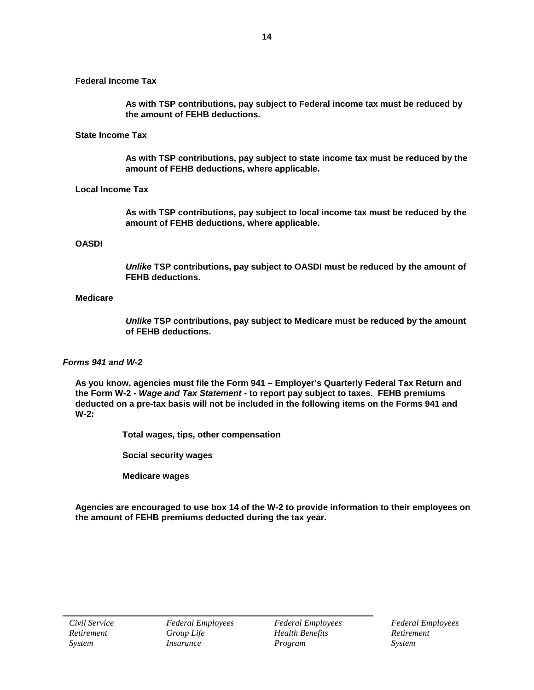**Federal Income Tax**

**As with TSP contributions, pay subject to Federal income tax must be reduced by the amount of FEHB deductions.** 

#### **State Income Tax**

**As with TSP contributions, pay subject to state income tax must be reduced by the amount of FEHB deductions, where applicable.** 

### **Local Income Tax**

**As with TSP contributions, pay subject to local income tax must be reduced by the amount of FEHB deductions, where applicable.** 

#### **OASDI**

*Unlike* **TSP contributions, pay subject to OASDI must be reduced by the amount of FEHB deductions.** 

#### **Medicare**

*Unlike* **TSP contributions, pay subject to Medicare must be reduced by the amount of FEHB deductions.** 

#### *Forms 941 and W-2*

**As you know, agencies must file the Form 941 – Employer's Quarterly Federal Tax Return and the Form W-2** *- Wage and Tax Statement* **- to report pay subject to taxes. FEHB premiums deducted on a pre-tax basis will not be included in the following items on the Forms 941 and W-2:**

**Total wages, tips, other compensation**

**Social security wages**

**Medicare wages**

**Agencies are encouraged to use box 14 of the W-2 to provide information to their employees on the amount of FEHB premiums deducted during the tax year.**